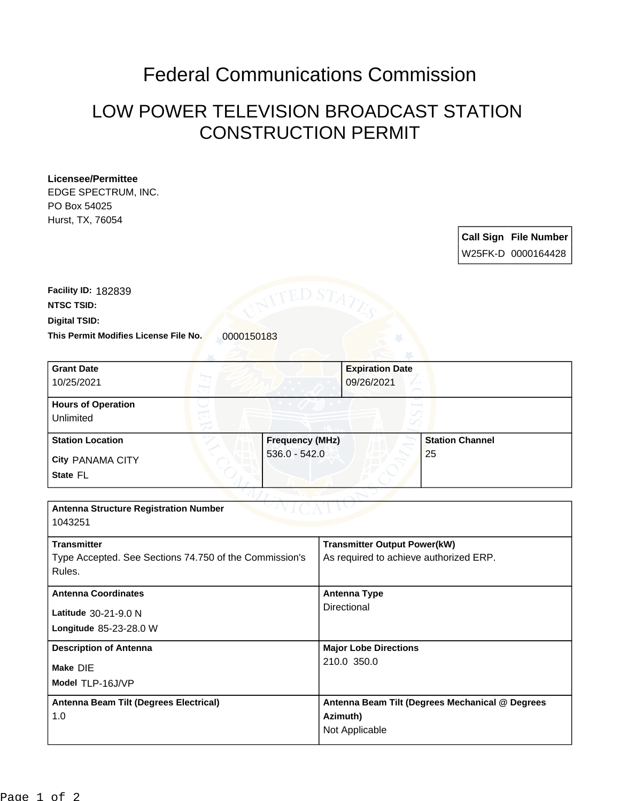## Federal Communications Commission

## LOW POWER TELEVISION BROADCAST STATION CONSTRUCTION PERMIT

| EDGE SPECTRUM, INC.                                    |                                                 |
|--------------------------------------------------------|-------------------------------------------------|
| PO Box 54025                                           |                                                 |
| Hurst, TX, 76054                                       |                                                 |
|                                                        | <b>Call Sign File Number</b>                    |
|                                                        | W25FK-D 0000164428                              |
|                                                        |                                                 |
|                                                        |                                                 |
| Facility ID: 182839<br>ED ST                           |                                                 |
| <b>NTSC TSID:</b>                                      |                                                 |
| Digital TSID:                                          |                                                 |
| This Permit Modifies License File No.<br>0000150183    |                                                 |
|                                                        |                                                 |
| <b>Grant Date</b>                                      | <b>Expiration Date</b>                          |
| 10/25/2021                                             | 09/26/2021                                      |
|                                                        |                                                 |
| <b>Hours of Operation</b>                              |                                                 |
| Unlimited                                              |                                                 |
| <b>Frequency (MHz)</b><br><b>Station Location</b>      | <b>Station Channel</b>                          |
| $536.0 - 542.0$                                        | 25                                              |
| <b>City PANAMA CITY</b>                                |                                                 |
| State FL                                               |                                                 |
|                                                        |                                                 |
| <b>Antenna Structure Registration Number</b>           |                                                 |
| 1043251                                                |                                                 |
| <b>Transmitter</b>                                     | <b>Transmitter Output Power(kW)</b>             |
| Type Accepted. See Sections 74.750 of the Commission's | As required to achieve authorized ERP.          |
| Rules.                                                 |                                                 |
|                                                        |                                                 |
| <b>Antenna Coordinates</b>                             | <b>Antenna Type</b>                             |
| Latitude 30-21-9.0 N                                   | Directional                                     |
| Longitude 85-23-28.0 W                                 |                                                 |
|                                                        |                                                 |
| <b>Description of Antenna</b>                          | <b>Major Lobe Directions</b><br>210.0 350.0     |
| Make DIE                                               |                                                 |
| Model TLP-16J/VP                                       |                                                 |
| Antenna Beam Tilt (Degrees Electrical)                 | Antenna Beam Tilt (Degrees Mechanical @ Degrees |
| 1.0                                                    | Azimuth)                                        |
|                                                        | Not Applicable                                  |
|                                                        |                                                 |

**Licensee/Permittee**